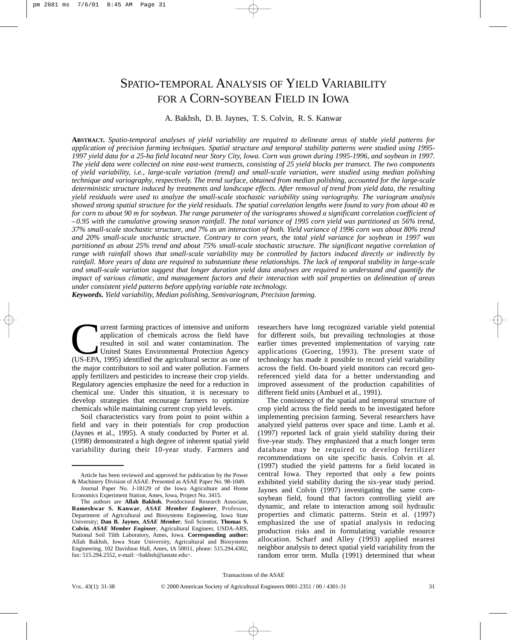# SPATIO-TEMPORAL ANALYSIS OF YIELD VARIABILITY FOR A CORN-SOYBEAN FIELD IN IOWA

# A. Bakhsh, D. B. Jaynes, T. S. Colvin, R. S. Kanwar

**ABSTRACT.** *Spatio-temporal analyses of yield variability are required to delineate areas of stable yield patterns for application of precision farming techniques. Spatial structure and temporal stability patterns were studied using 1995- 1997 yield data for a 25-ha field located near Story City, Iowa. Corn was grown during 1995-1996, and soybean in 1997. The yield data were collected on nine east-west transects, consisting of 25 yield blocks per transect. The two components of yield variability, i.e., large-scale variation (trend) and small-scale variation, were studied using median polishing technique and variography, respectively. The trend surface, obtained from median polishing, accounted for the large-scale deterministic structure induced by treatments and landscape effects. After removal of trend from yield data, the resulting yield residuals were used to analyze the small-scale stochastic variability using variography. The variogram analysis showed strong spatial structure for the yield residuals. The spatial correlation lengths were found to vary from about 40 m for corn to about 90 m for soybean. The range parameter of the variograms showed a significant correlation coefficient of –0.95 with the cumulative growing season rainfall. The total variance of 1995 corn yield was partitioned as 56% trend, 37% small-scale stochastic structure, and 7% as an interaction of both. Yield variance of 1996 corn was about 80% trend and 20% small-scale stochastic structure. Contrary to corn years, the total yield variance for soybean in 1997 was partitioned as about 25% trend and about 75% small-scale stochastic structure. The significant negative correlation of range with rainfall shows that small-scale variability may be controlled by factors induced directly or indirectly by rainfall. More years of data are required to substantiate these relationships. The lack of temporal stability in large-scale and small-scale variation suggest that longer duration yield data analyses are required to understand and quantify the impact of various climatic, and management factors and their interaction with soil properties on delineation of areas under consistent yield patterns before applying variable rate technology.*

*Keywords. Yield variability, Median polishing, Semivariogram, Precision farming.*

Turrent farming practices of intensive and uniform<br>
application of chemicals across the field have<br>
resulted in soil and water contamination. The<br>
United States Environmental Protection Agency<br>
(US-EPA, 1995) identified th application of chemicals across the field have resulted in soil and water contamination. The United States Environmental Protection Agency the major contributors to soil and water pollution. Farmers apply fertilizers and pesticides to increase their crop yields. Regulatory agencies emphasize the need for a reduction in chemical use. Under this situation, it is necessary to develop strategies that encourage farmers to optimize chemicals while maintaining current crop yield levels.

Soil characteristics vary from point to point within a field and vary in their potentials for crop production (Jaynes et al., 1995). A study conducted by Porter et al. (1998) demonstrated a high degree of inherent spatial yield variability during their 10-year study. Farmers and

researchers have long recognized variable yield potential for different soils, but prevailing technologies at those earlier times prevented implementation of varying rate applications (Goering, 1993). The present state of technology has made it possible to record yield variability across the field. On-board yield monitors can record georeferenced yield data for a better understanding and improved assessment of the production capabilities of different field units (Ambuel et al., 1991).

The consistency of the spatial and temporal structure of crop yield across the field needs to be investigated before implementing precision farming. Several researchers have analyzed yield patterns over space and time. Lamb et al. (1997) reported lack of grain yield stability during their five-year study. They emphasized that a much longer term database may be required to develop fertilizer recommendations on site specific basis. Colvin et al. (1997) studied the yield patterns for a field located in central Iowa. They reported that only a few points exhibited yield stability during the six-year study period. Jaynes and Colvin (1997) investigating the same cornsoybean field, found that factors controlling yield are dynamic, and relate to interaction among soil hydraulic properties and climatic patterns. Stein et al. (1997) emphasized the use of spatial analysis in reducing production risks and in formulating variable resource allocation. Scharf and Alley (1993) applied nearest neighbor analysis to detect spatial yield variability from the random error term. Mulla (1991) determined that wheat

Article has been reviewed and approved for publication by the Power & Machinery Division of ASAE. Presented as ASAE Paper No. 98-1049. Journal Paper No. J-18129 of the Iowa Agriculture and Home

Economics Experiment Station, Ames, Iowa, Project No. 3415. The authors are **Allah Bakhsh**, Postdoctoral Research Associate,

**Rameshwar S. Kanwar**, *ASAE Member Engineer*, Professor, Department of Agricultural and Biosystems Engineering, Iowa State University; **Dan B. Jaynes**, *ASAE Member*, Soil Scientist, **Thomas S. Colvin**, *ASAE Member Engineer*, Agricultural Engineer, USDA-ARS, National Soil Tilth Laboratory, Ames, Iowa. **Corresponding author:** Allah Bakhsh, Iowa State University, Agricultural and Biosystems Engineering, 102 Davidson Hall, Ames, IA 50011, phone: 515.294.4302, fax: 515.294.2552, e-mail: <bakhsh@iastate.edu>.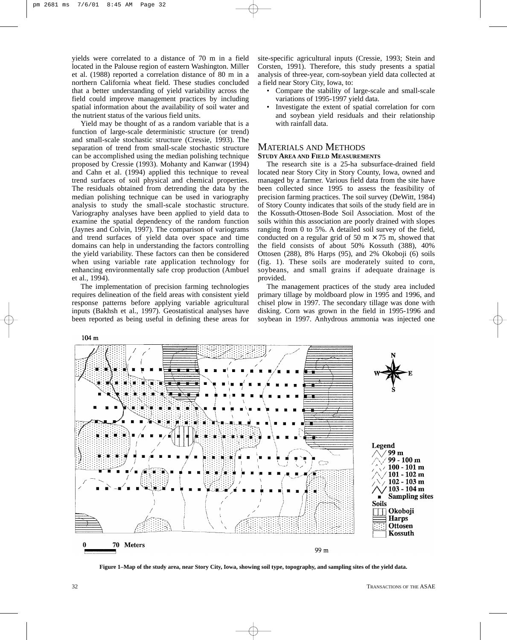yields were correlated to a distance of 70 m in a field located in the Palouse region of eastern Washington. Miller et al. (1988) reported a correlation distance of 80 m in a northern California wheat field. These studies concluded that a better understanding of yield variability across the field could improve management practices by including spatial information about the availability of soil water and the nutrient status of the various field units.

Yield may be thought of as a random variable that is a function of large-scale deterministic structure (or trend) and small-scale stochastic structure (Cressie, 1993). The separation of trend from small-scale stochastic structure can be accomplished using the median polishing technique proposed by Cressie (1993). Mohanty and Kanwar (1994) and Cahn et al. (1994) applied this technique to reveal trend surfaces of soil physical and chemical properties. The residuals obtained from detrending the data by the median polishing technique can be used in variography analysis to study the small-scale stochastic structure. Variography analyses have been applied to yield data to examine the spatial dependency of the random function (Jaynes and Colvin, 1997). The comparison of variograms and trend surfaces of yield data over space and time domains can help in understanding the factors controlling the yield variability. These factors can then be considered when using variable rate application technology for enhancing environmentally safe crop production (Ambuel et al., 1994).

The implementation of precision farming technologies requires delineation of the field areas with consistent yield response patterns before applying variable agricultural inputs (Bakhsh et al., 1997). Geostatistical analyses have been reported as being useful in defining these areas for

site-specific agricultural inputs (Cressie, 1993; Stein and Corsten, 1991). Therefore, this study presents a spatial analysis of three-year, corn-soybean yield data collected at a field near Story City, Iowa, to:

- Compare the stability of large-scale and small-scale variations of 1995-1997 yield data.
- Investigate the extent of spatial correlation for corn and soybean yield residuals and their relationship with rainfall data.

## MATERIALS AND METHODS **STUDY AREA AND FIELD MEASUREMENTS**

The research site is a 25-ha subsurface-drained field located near Story City in Story County, Iowa, owned and managed by a farmer. Various field data from the site have been collected since 1995 to assess the feasibility of precision farming practices. The soil survey (DeWitt, 1984) of Story County indicates that soils of the study field are in the Kossuth-Ottosen-Bode Soil Association. Most of the soils within this association are poorly drained with slopes ranging from 0 to 5%. A detailed soil survey of the field, conducted on a regular grid of 50 m  $\times$  75 m, showed that the field consists of about 50% Kossuth (388), 40% Ottosen (288), 8% Harps (95), and 2% Okoboji (6) soils (fig. 1). These soils are moderately suited to corn, soybeans, and small grains if adequate drainage is provided.

The management practices of the study area included primary tillage by moldboard plow in 1995 and 1996, and chisel plow in 1997. The secondary tillage was done with disking. Corn was grown in the field in 1995-1996 and soybean in 1997. Anhydrous ammonia was injected one



**Figure 1–Map of the study area, near Story City, Iowa, showing soil type, topography, and sampling sites of the yield data.**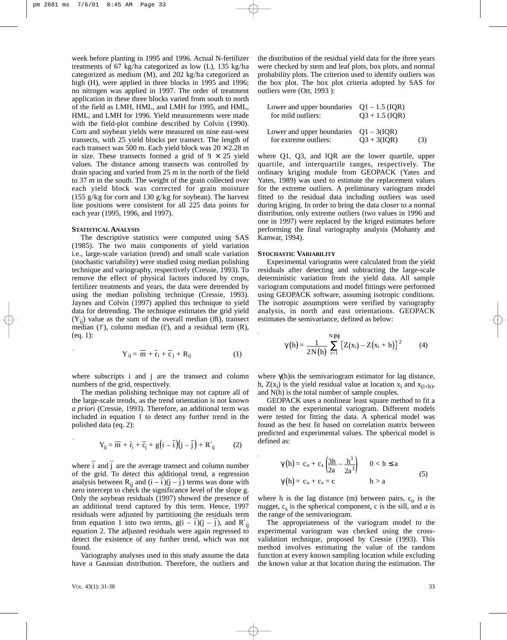week before planting in 1995 and 1996. Actual N-fertilizer treatments of 67 kg/ha categorized as low (L), 135 kg/ha categorized as medium (M), and 202 kg/ha categorized as high (H), were applied in three blocks in 1995 and 1996; no nitrogen was applied in 1997. The order of treatment application in these three blocks varied from south to north of the field as LMH, HML, and LMH for 1995, and HML, HML, and LMH for 1996. Yield measurements were made with the field-plot combine described by Colvin (1990). Corn and soybean yields were measured on nine east-west transects, with 25 yield blocks per transect. The length of each transect was 500 m. Each yield block was  $20 \times 2.28$  m in size. These transects formed a grid of  $9 \times 25$  yield values. The distance among transects was controlled by drain spacing and varied from 25 m in the north of the field to 37 m in the south. The weight of the grain collected over each yield block was corrected for grain moisture (155 g/kg for corn and 130 g/kg for soybean). The harvest line positions were consistent for all 225 data points for each year (1995, 1996, and 1997).

#### **STATISTICAL ANALYSIS**

The descriptive statistics were computed using SAS (1985). The two main components of yield variation i.e., large-scale variation (trend) and small scale variation (stochastic variability) were studied using median polishing technique and variography, respectively (Cressie, 1993). To remove the effect of physical factors induced by crops, fertilizer treatments and years, the data were detrended by using the median polishing technique (Cressie, 1993). Jaynes and Colvin (1997) applied this technique to yield data for detrending. The technique estimates the grid yield \_ data for detrending. The technique estimates the grid yield  $(Y_{ij})$  value as the sum of the overall median ( $\overline{m}$ ), transect  $(\mathbf{r}_{ij})$  value as the sum of the overall median (m), transect<br>median ( $\bar{r}$ ), column median ( $\bar{c}$ ), and a residual term (R), (eq. 1):

$$
Y_{ij} = \overline{m} + \overline{r_i} + \overline{c}_j + R_{ij}
$$
 (1)

where subscripts i and j are the transect and column numbers of the grid, respectively.

The median polishing technique may not capture all of the large-scale trends, as the trend orientation is not known *a priori* (Cressie, 1993). Therefore, an additional term was included in equation 1 to detect any further trend in the polished data (eq. 2):

$$
Y_{ij} = \overline{m} + \overline{r_i} + \overline{c_j} + g(i - \overline{i})(j - \overline{j}) + R'_{ij}
$$
 (2)

where i  $\overline{\phantom{a}}$ and j  $\overline{\phantom{a}}$ are the average transect and column number of the grid. To detect this additional trend, a regression analysis between  $R_{ij}$  and  $(i - i)(j - j)$  terms was done with zero intercept to check the significance level of the slope g. Only the soybean residuals (1997) showed the presence of an additional trend captured by this term. Hence, 1997 residuals were adjusted by partitioning the residuals term from equation 1 into two terms,  $g(i - i)(j - j)$ , and  $R'_{ij}$ equation 2. The adjusted residuals were again regressed to detect the existence of any further trend, which was not found.

Variography analyses used in this study assume the data have a Gaussian distribution. Therefore, the outliers and the distribution of the residual yield data for the three years were checked by stem and leaf plots, box plots, and normal probability plots. The criterion used to identify outliers was the box plot. The box plot criteria adopted by SAS for outliers were (Ott, 1993 ):

| Lower and upper boundaries $Q_1 - 1.5$ (IQR)<br>for mild outliers: | $O3 + 1.5$ (IOR) |     |
|--------------------------------------------------------------------|------------------|-----|
| Lower and upper boundaries $Q1 - 3(IQR)$<br>for extreme outliers:  | $O3 + 3(IOR)$    | (3) |

Lower and upper boundaries  $\bigcap_{i=1}^{\infty}$   $\bigcap_{i=1}^{\infty}$ 

where Q1, Q3, and IQR are the lower quartile, upper quartile, and interquartile ranges, respectively. The ordinary kriging module from GEOPACK (Yates and Yates, 1989) was used to estimate the replacement values for the extreme outliers. A preliminary variogram model fitted to the residual data including outliers was used during kriging. In order to bring the data closer to a normal distribution, only extreme outliers (two values in 1996 and one in 1997) were replaced by the kriged estimates before performing the final variography analysis (Mohanty and Kanwar, 1994).

## **STOCHASTIC VARIABILITY**

Experimental variograms were calculated from the yield residuals after detecting and subtracting the large-scale deterministic variation from the yield data. All sample variogram computations and model fittings were performed using GEOPACK software, assuming isotropic conditions. The isotropic assumptions were verified by variography analysis, in north and east orientations. GEOPACK estimates the semivariance, defined as below:

$$
\gamma(h) = \frac{1}{2N(h)} \sum_{i=1}^{N(h)} [Z(x_i) - Z(x_i + h)]^2
$$
 (4)

where  $\gamma$ (h) is the semivariogram estimator for lag distance, h,  $Z(x_i)$  is the yield residual value at location  $x_i$  and  $x_{(i+h)}$ , and N(h) is the total number of sample couples.

GEOPACK uses a nonlinear least square method to fit a model to the experimental variogram. Different models were tested for fitting the data. A spherical model was found as the best fit based on correlation matrix between predicted and experimental values. The spherical model is defined as:

$$
\gamma(h) = c_o + c_s \left(\frac{3h}{2a} - \frac{h^3}{2a^3}\right) \qquad 0 < h \le a
$$
  

$$
\gamma(h) = c_o + c_s = c \qquad h > a \qquad (5)
$$

where h is the lag distance (m) between pairs,  $c_0$  is the nugget,  $c_s$  is the spherical component, c is the sill, and  $a$  is the range of the semivariogram.

The appropriateness of the variogram model to the experimental variogram was checked using the crossvalidation technique, proposed by Cressie (1993). This method involves estimating the value of the random function at every known sampling location while excluding the known value at that location during the estimation. The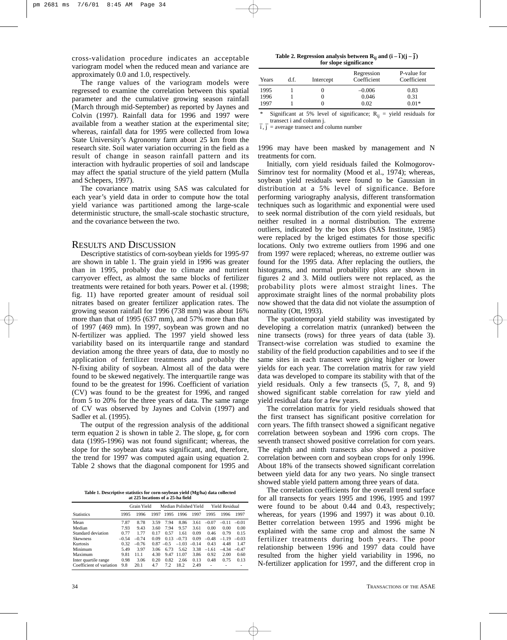cross-validation procedure indicates an acceptable variogram model when the reduced mean and variance are approximately 0.0 and 1.0, respectively.

The range values of the variogram models were regressed to examine the correlation between this spatial parameter and the cumulative growing season rainfall (March through mid-September) as reported by Jaynes and Colvin (1997). Rainfall data for 1996 and 1997 were available from a weather station at the experimental site; whereas, rainfall data for 1995 were collected from Iowa State University's Agronomy farm about 25 km from the research site. Soil water variation occurring in the field as a result of change in season rainfall pattern and its interaction with hydraulic properties of soil and landscape may affect the spatial structure of the yield pattern (Mulla and Schepers, 1997).

The covariance matrix using SAS was calculated for each year's yield data in order to compute how the total yield variance was partitioned among the large-scale deterministic structure, the small-scale stochastic structure, and the covariance between the two.

# RESULTS AND DISCUSSION

Descriptive statistics of corn-soybean yields for 1995-97 are shown in table 1. The grain yield in 1996 was greater than in 1995, probably due to climate and nutrient carryover effect, as almost the same blocks of fertilizer treatments were retained for both years. Power et al. (1998; fig. 11) have reported greater amount of residual soil nitrates based on greater fertilizer application rates. The growing season rainfall for 1996 (738 mm) was about 16% more than that of 1995 (637 mm), and 57% more than that of 1997 (469 mm). In 1997, soybean was grown and no N-fertilizer was applied. The 1997 yield showed less variability based on its interquartile range and standard deviation among the three years of data, due to mostly no application of fertilizer treatments and probably the N-fixing ability of soybean. Almost all of the data were found to be skewed negatively. The interquartile range was found to be the greatest for 1996. Coefficient of variation (CV) was found to be the greatest for 1996, and ranged from 5 to 20% for the three years of data. The same range of CV was observed by Jaynes and Colvin (1997) and Sadler et al. (1995).

The output of the regression analysis of the additional term equation 2 is shown in table 2. The slope, g, for corn data (1995-1996) was not found significant; whereas, the slope for the soybean data was significant, and, therefore, the trend for 1997 was computed again using equation 2. Table 2 shows that the diagonal component for 1995 and

**Table 1. Descriptive statistics for corn-soybean yield (Mg/ha) data collected at 225 locations of a 25-ha field**

| at 229 iocations of a 29-na ficiu |         |             |      |        |         |                       |         |                       |         |
|-----------------------------------|---------|-------------|------|--------|---------|-----------------------|---------|-----------------------|---------|
|                                   |         | Grain Yield |      |        |         | Median Polished Yield |         | <b>Yield Residual</b> |         |
| <b>Statistics</b>                 | 1995    | 1996        | 1997 | 1995   | 1996    | 1997                  | 1995    | 1996                  | 1997    |
| Mean                              | 7.87    | 8.78        | 3.59 | 7.94   | 8.86    | 3.61                  | $-0.07$ | $-0.11$               | $-0.01$ |
| Median                            | 7.93    | 9.43        | 3.60 | 7.94   | 9.57    | 3.61                  | 0.00    | 0.00                  | 0.00    |
| Standard deviation                | 0.77    | 1.77        | 0.17 | 0.57   | 1.61    | 0.09                  | 0.46    | 0.79                  | 0.15    |
| <b>Skewness</b>                   | $-0.54$ | $-0.74$     | 0.09 | 0.13   | $-0.73$ | 0.09                  | $-0.48$ | $-1.19$               | $-0.03$ |
| Kurtosis                          | 0.32    | $-0.76$     | 0.87 | $-0.5$ | $-1.03$ | $-0.14$               | 0.43    | 4.48                  | 1.47    |
| Minimum                           | 5.49    | 3.97        | 3.06 | 6.73   | 5.62    | 3.38                  | $-1.61$ | $-4.34$               | $-0.47$ |
| Maximum                           | 9.81    | 11.1        | 4.30 | 9.47   | 11.07   | 3.86                  | 0.92    | 2.00                  | 0.60    |
| Inter quartile range              | 0.98    | 3.06        | 0.20 | 0.82   | 2.66    | 0.13                  | 0.48    | 0.75                  | 0.13    |
| Coefficient of variation          | 9.8     | 20.1        | 4.7  | 7.2    | 18.2    | 2.49                  | ۰       |                       |         |

Table 2. Regression analysis between  $\mathbf{R_{ij}}$  and  $(i-\bar{i})(\mathbf{j}-\bar{j})$ **for slope significance** 

| Years | d.f. | Intercept | Regression<br>Coefficient | P-value for<br>Coefficient |
|-------|------|-----------|---------------------------|----------------------------|
| 1995  |      |           | $-0.006$                  | 0.83                       |
| 1996  |      |           | 0.046                     | 0.31                       |
| 1997  |      |           | 0.02                      | $0.01*$                    |

Significant at 5% level of significance;  $R_{ij}$  = yield residuals for transect i and column j. \_  $\overline{a}$ 

i , j = average transect and column number

1996 may have been masked by management and N treatments for corn.

Initially, corn yield residuals failed the Kolmogorov-Simrinov test for normality (Mood et al., 1974); whereas, soybean yield residuals were found to be Gaussian in distribution at a 5% level of significance. Before performing variography analysis, different transformation techniques such as logarithmic and exponential were used to seek normal distribution of the corn yield residuals, but neither resulted in a normal distribution. The extreme outliers, indicated by the box plots (SAS Institute, 1985) were replaced by the kriged estimates for those specific locations. Only two extreme outliers from 1996 and one from 1997 were replaced; whereas, no extreme outlier was found for the 1995 data. After replacing the outliers, the histograms, and normal probability plots are shown in figures 2 and 3. Mild outliers were not replaced, as the probability plots were almost straight lines. The approximate straight lines of the normal probability plots now showed that the data did not violate the assumption of normality (Ott, 1993).

The spatiotemporal yield stability was investigated by developing a correlation matrix (unranked) between the nine transects (rows) for three years of data (table 3). Transect-wise correlation was studied to examine the stability of the field production capabilities and to see if the same sites in each transect were giving higher or lower yields for each year. The correlation matrix for raw yield data was developed to compare its stability with that of the yield residuals. Only a few transects (5, 7, 8, and 9) showed significant stable correlation for raw yield and yield residual data for a few years.

The correlation matrix for yield residuals showed that the first transect has significant positive correlation for corn years. The fifth transect showed a significant negative correlation between soybean and 1996 corn crops. The seventh transect showed positive correlation for corn years. The eighth and ninth transects also showed a positive correlation between corn and soybean crops for only 1996. About 18% of the transects showed significant correlation between yield data for any two years. No single transect showed stable yield pattern among three years of data.

The correlation coefficients for the overall trend surface for all transects for years 1995 and 1996, 1995 and 1997 were found to be about 0.44 and 0.43, respectively; whereas, for years (1996 and 1997) it was about 0.10. Better correlation between 1995 and 1996 might be explained with the same crop and almost the same N fertilizer treatments during both years. The poor relationship between 1996 and 1997 data could have resulted from the higher yield variability in 1996, no N-fertilizer application for 1997, and the different crop in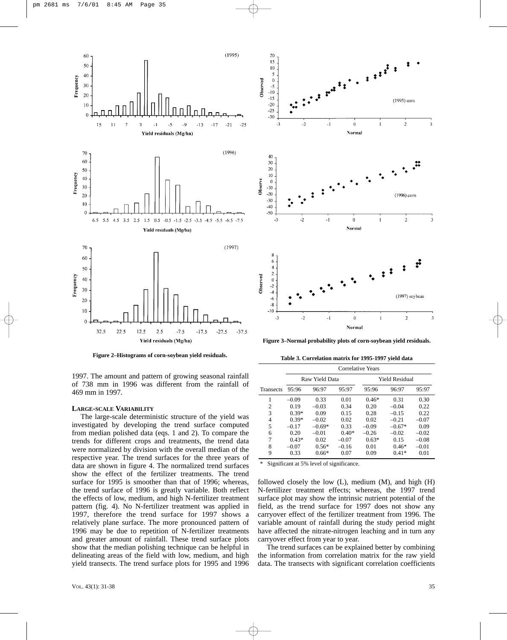

**Figure 2–Histograms of corn-soybean yield residuals.**

1997. The amount and pattern of growing seasonal rainfall of 738 mm in 1996 was different from the rainfall of 469 mm in 1997.

#### **LARGE-SCALE VARIABILITY**

The large-scale deterministic structure of the yield was investigated by developing the trend surface computed from median polished data (eqs. 1 and 2). To compare the trends for different crops and treatments, the trend data were normalized by division with the overall median of the respective year. The trend surfaces for the three years of data are shown in figure 4. The normalized trend surfaces show the effect of the fertilizer treatments. The trend surface for 1995 is smoother than that of 1996; whereas, the trend surface of 1996 is greatly variable. Both reflect the effects of low, medium, and high N-fertilizer treatment pattern (fig. 4). No N-fertilizer treatment was applied in 1997, therefore the trend surface for 1997 shows a relatively plane surface. The more pronounced pattern of 1996 may be due to repetition of N-fertilizer treatments and greater amount of rainfall. These trend surface plots show that the median polishing technique can be helpful in delineating areas of the field with low, medium, and high yield transects. The trend surface plots for 1995 and 1996



**Figure 3–Normal probability plots of corn-soybean yield residuals.**

**Table 3. Correlation matrix for 1995-1997 yield data**

|           | Correlative Years |                |         |                       |          |         |
|-----------|-------------------|----------------|---------|-----------------------|----------|---------|
|           |                   | Raw Yield Data |         | <b>Yield Residual</b> |          |         |
| Transects | 95:96             | 96:97          | 95:97   | 95:96                 | 96:97    | 95:97   |
|           | $-0.09$           | 0.33           | 0.01    | $0.46*$               | 0.31     | 0.30    |
| 2         | 0.19              | $-0.03$        | 0.34    | 0.20                  | $-0.04$  | 0.22    |
| 3         | $0.39*$           | 0.09           | 0.15    | 0.28                  | $-0.15$  | 0.22    |
| 4         | $0.39*$           | $-0.02$        | 0.02    | 0.02                  | $-0.21$  | $-0.07$ |
| 5         | $-0.17$           | $-0.69*$       | 0.33    | $-0.09$               | $-0.67*$ | 0.09    |
| 6         | 0.20              | $-0.01$        | $0.40*$ | $-0.26$               | $-0.02$  | $-0.02$ |
| 7         | $0.43*$           | 0.02           | $-0.07$ | $0.63*$               | 0.15     | $-0.08$ |
| 8         | $-0.07$           | $0.56*$        | $-0.16$ | 0.01                  | $0.46*$  | $-0.01$ |
| 9         | 0.33              | $0.66*$        | 0.07    | 0.09                  | $0.41*$  | 0.01    |

Significant at 5% level of significance.

followed closely the low  $(L)$ , medium  $(M)$ , and high  $(H)$ N-fertilizer treatment effects; whereas, the 1997 trend surface plot may show the intrinsic nutrient potential of the field, as the trend surface for 1997 does not show any carryover effect of the fertilizer treatment from 1996. The variable amount of rainfall during the study period might have affected the nitrate-nitrogen leaching and in turn any carryover effect from year to year.

The trend surfaces can be explained better by combining the information from correlation matrix for the raw yield data. The transects with significant correlation coefficients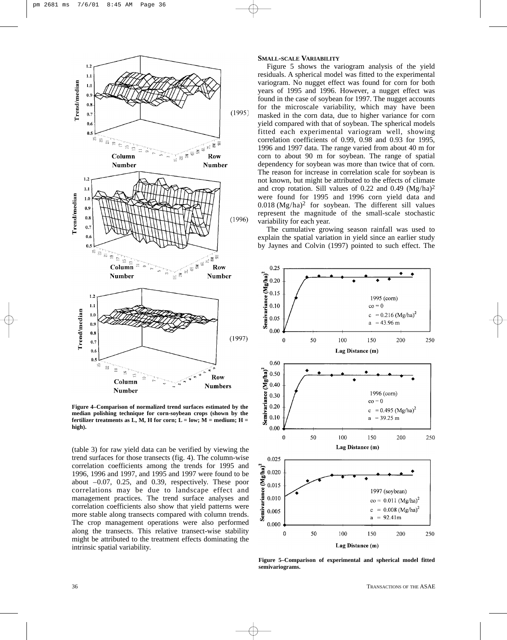

**Figure 4–Comparison of normalized trend surfaces estimated by the median polishing technique for corn-soybean crops (shown by the** fertilizer treatments as  $L$ , M, H for corn;  $L =$  low;  $M =$  medium;  $H =$ **high).**

(table 3) for raw yield data can be verified by viewing the trend surfaces for those transects (fig. 4). The column-wise correlation coefficients among the trends for 1995 and 1996, 1996 and 1997, and 1995 and 1997 were found to be about –0.07, 0.25, and 0.39, respectively. These poor correlations may be due to landscape effect and management practices. The trend surface analyses and correlation coefficients also show that yield patterns were more stable along transects compared with column trends. The crop management operations were also performed along the transects. This relative transect-wise stability might be attributed to the treatment effects dominating the intrinsic spatial variability.

## **SMALL-SCALE VARIABILITY**

Figure 5 shows the variogram analysis of the yield residuals. A spherical model was fitted to the experimental variogram. No nugget effect was found for corn for both years of 1995 and 1996. However, a nugget effect was found in the case of soybean for 1997. The nugget accounts for the microscale variability, which may have been masked in the corn data, due to higher variance for corn yield compared with that of soybean. The spherical models fitted each experimental variogram well, showing correlation coefficients of 0.99, 0.98 and 0.93 for 1995, 1996 and 1997 data. The range varied from about 40 m for corn to about 90 m for soybean. The range of spatial dependency for soybean was more than twice that of corn. The reason for increase in correlation scale for soybean is not known, but might be attributed to the effects of climate and crop rotation. Sill values of 0.22 and 0.49  $(Mg/ha)^2$ were found for 1995 and 1996 corn yield data and  $0.018$  (Mg/ha)<sup>2</sup> for soybean. The different sill values represent the magnitude of the small-scale stochastic variability for each year.

The cumulative growing season rainfall was used to explain the spatial variation in yield since an earlier study by Jaynes and Colvin (1997) pointed to such effect. The



**Figure 5–Comparison of experimental and spherical model fitted semivariograms.**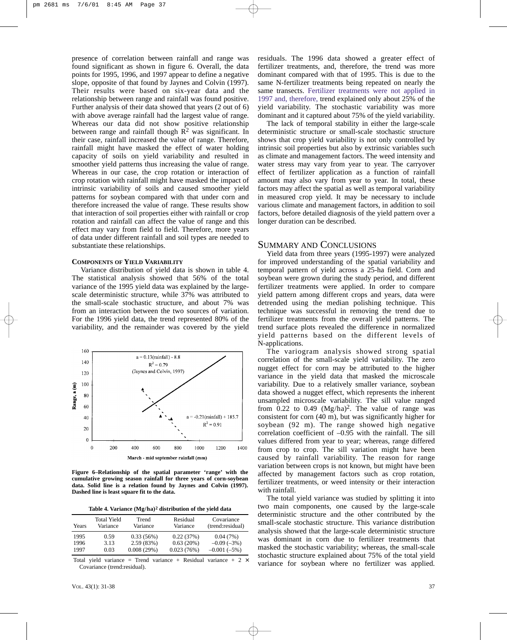presence of correlation between rainfall and range was found significant as shown in figure 6. Overall, the data points for 1995, 1996, and 1997 appear to define a negative slope, opposite of that found by Jaynes and Colvin (1997). Their results were based on six-year data and the relationship between range and rainfall was found positive. Further analysis of their data showed that years (2 out of 6) with above average rainfall had the largest value of range. Whereas our data did not show positive relationship between range and rainfall though  $\mathbb{R}^2$  was significant. In their case, rainfall increased the value of range. Therefore, rainfall might have masked the effect of water holding capacity of soils on yield variability and resulted in smoother yield patterns thus increasing the value of range. Whereas in our case, the crop rotation or interaction of crop rotation with rainfall might have masked the impact of intrinsic variability of soils and caused smoother yield patterns for soybean compared with that under corn and therefore increased the value of range. These results show that interaction of soil properties either with rainfall or crop rotation and rainfall can affect the value of range and this effect may vary from field to field. Therefore, more years of data under different rainfall and soil types are needed to substantiate these relationships.

## **COMPONENTS OF YIELD VARIABILITY**

Variance distribution of yield data is shown in table 4. The statistical analysis showed that 56% of the total variance of the 1995 yield data was explained by the largescale deterministic structure, while 37% was attributed to the small-scale stochastic structure, and about 7% was from an interaction between the two sources of variation. For the 1996 yield data, the trend represented 80% of the variability, and the remainder was covered by the yield



**Figure 6–Relationship of the spatial parameter 'range' with the cumulative growing season rainfall for three years of corn-soybean data. Solid line is a relation found by Jaynes and Colvin (1997). Dashed line is least square fit to the data.**

|  |  |  | Table 4. Variance (Mg/ha) <sup>2</sup> distribution of the yield data |  |  |
|--|--|--|-----------------------------------------------------------------------|--|--|
|--|--|--|-----------------------------------------------------------------------|--|--|

| Years | <b>Total Yield</b><br>Variance | Trend<br>Variance | Residual<br>Variance | Covariance<br>(trend:residual) |
|-------|--------------------------------|-------------------|----------------------|--------------------------------|
| 1995  | 0.59                           | 0.33(56%)         | 0.22(37%)            | 0.04(7%)                       |
| 1996  | 3.13                           | 2.59(83%)         | 0.63(20%)            | $-0.09(-3%)$                   |
| 1997  | 0.03                           | 0.008(29%)        | 0.023(76%)           | $-0.001(-5%)$                  |

Total yield variance = Trend variance + Residual variance +  $2 \times$ Covariance (trend:residual).

residuals. The 1996 data showed a greater effect of fertilizer treatments, and, therefore, the trend was more dominant compared with that of 1995. This is due to the same N-fertilizer treatments being repeated on nearly the same transects. Fertilizer treatments were not applied in 1997 and, therefore, trend explained only about 25% of the yield variability. The stochastic variability was more dominant and it captured about 75% of the yield variability.

The lack of temporal stability in either the large-scale deterministic structure or small-scale stochastic structure shows that crop yield variability is not only controlled by intrinsic soil properties but also by extrinsic variables such as climate and management factors. The weed intensity and water stress may vary from year to year. The carryover effect of fertilizer application as a function of rainfall amount may also vary from year to year. In total, these factors may affect the spatial as well as temporal variability in measured crop yield. It may be necessary to include various climate and management factors, in addition to soil factors, before detailed diagnosis of the yield pattern over a longer duration can be described.

# SUMMARY AND CONCLUSIONS

Yield data from three years (1995-1997) were analyzed for improved understanding of the spatial variability and temporal pattern of yield across a 25-ha field. Corn and soybean were grown during the study period, and different fertilizer treatments were applied. In order to compare yield pattern among different crops and years, data were detrended using the median polishing technique. This technique was successful in removing the trend due to fertilizer treatments from the overall yield patterns. The trend surface plots revealed the difference in normalized yield patterns based on the different levels of N-applications.

The variogram analysis showed strong spatial correlation of the small-scale yield variability. The zero nugget effect for corn may be attributed to the higher variance in the yield data that masked the microscale variability. Due to a relatively smaller variance, soybean data showed a nugget effect, which represents the inherent unsampled microscale variability. The sill value ranged from  $0.22$  to  $0.49$  (Mg/ha)<sup>2</sup>. The value of range was consistent for corn (40 m), but was significantly higher for soybean (92 m). The range showed high negative correlation coefficient of –0.95 with the rainfall. The sill values differed from year to year; whereas, range differed from crop to crop. The sill variation might have been caused by rainfall variability. The reason for range variation between crops is not known, but might have been affected by management factors such as crop rotation, fertilizer treatments, or weed intensity or their interaction with rainfall.

The total yield variance was studied by splitting it into two main components, one caused by the large-scale deterministic structure and the other contributed by the small-scale stochastic structure. This variance distribution analysis showed that the large-scale deterministic structure was dominant in corn due to fertilizer treatments that masked the stochastic variability; whereas, the small-scale stochastic structure explained about 75% of the total yield variance for soybean where no fertilizer was applied.